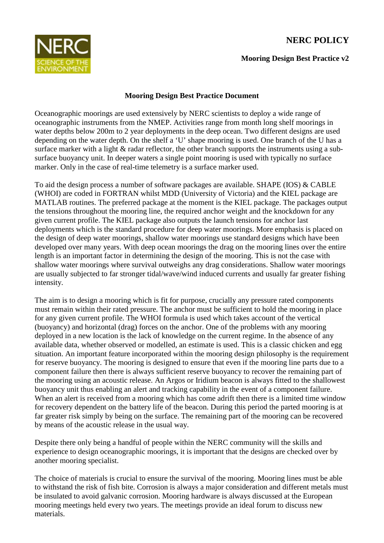## **NERC POLICY**



**Mooring Design Best Practice v2**

## **Mooring Design Best Practice Document**

Oceanographic moorings are used extensively by NERC scientists to deploy a wide range of oceanographic instruments from the NMEP. Activities range from month long shelf moorings in water depths below 200m to 2 year deployments in the deep ocean. Two different designs are used depending on the water depth. On the shelf a 'U' shape mooring is used. One branch of the U has a surface marker with a light  $\&$  radar reflector, the other branch supports the instruments using a subsurface buoyancy unit. In deeper waters a single point mooring is used with typically no surface marker. Only in the case of real-time telemetry is a surface marker used.

To aid the design process a number of software packages are available. SHAPE (IOS) & CABLE (WHOI) are coded in FORTRAN whilst MDD (University of Victoria) and the KIEL package are MATLAB routines. The preferred package at the moment is the KIEL package. The packages output the tensions throughout the mooring line, the required anchor weight and the knockdown for any given current profile. The KIEL package also outputs the launch tensions for anchor last deployments which is the standard procedure for deep water moorings. More emphasis is placed on the design of deep water moorings, shallow water moorings use standard designs which have been developed over many years. With deep ocean moorings the drag on the mooring lines over the entire length is an important factor in determining the design of the mooring. This is not the case with shallow water moorings where survival outweighs any drag considerations. Shallow water moorings are usually subjected to far stronger tidal/wave/wind induced currents and usually far greater fishing intensity.

The aim is to design a mooring which is fit for purpose, crucially any pressure rated components must remain within their rated pressure. The anchor must be sufficient to hold the mooring in place for any given current profile. The WHOI formula is used which takes account of the vertical (buoyancy) and horizontal (drag) forces on the anchor. One of the problems with any mooring deployed in a new location is the lack of knowledge on the current regime. In the absence of any available data, whether observed or modelled, an estimate is used. This is a classic chicken and egg situation. An important feature incorporated within the mooring design philosophy is the requirement for reserve buoyancy. The mooring is designed to ensure that even if the mooring line parts due to a component failure then there is always sufficient reserve buoyancy to recover the remaining part of the mooring using an acoustic release. An Argos or Iridium beacon is always fitted to the shallowest buoyancy unit thus enabling an alert and tracking capability in the event of a component failure. When an alert is received from a mooring which has come adrift then there is a limited time window for recovery dependent on the battery life of the beacon. During this period the parted mooring is at far greater risk simply by being on the surface. The remaining part of the mooring can be recovered by means of the acoustic release in the usual way.

Despite there only being a handful of people within the NERC community will the skills and experience to design oceanographic moorings, it is important that the designs are checked over by another mooring specialist.

The choice of materials is crucial to ensure the survival of the mooring. Mooring lines must be able to withstand the risk of fish bite. Corrosion is always a major consideration and different metals must be insulated to avoid galvanic corrosion. Mooring hardware is always discussed at the European mooring meetings held every two years. The meetings provide an ideal forum to discuss new materials.